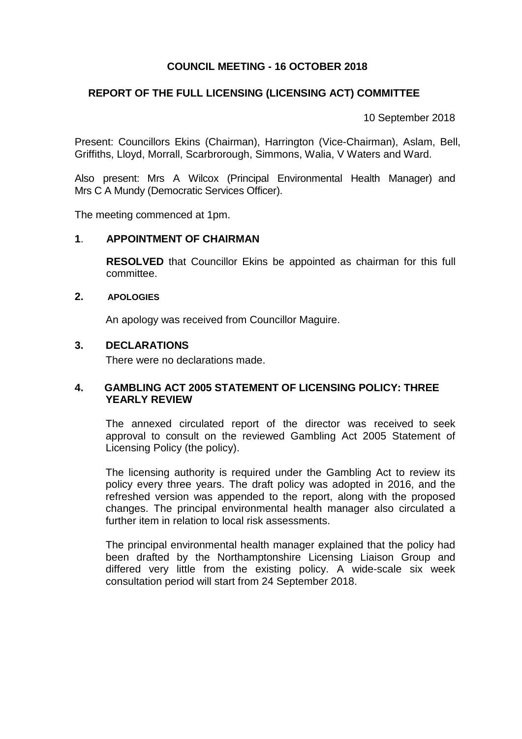# **COUNCIL MEETING - 16 OCTOBER 2018**

## **REPORT OF THE FULL LICENSING (LICENSING ACT) COMMITTEE**

10 September 2018

Present: Councillors Ekins (Chairman), Harrington (Vice-Chairman), Aslam, Bell, Griffiths, Lloyd, Morrall, Scarbrorough, Simmons, Walia, V Waters and Ward.

Also present: Mrs A Wilcox (Principal Environmental Health Manager) and Mrs C A Mundy (Democratic Services Officer).

The meeting commenced at 1pm.

#### **1**. **APPOINTMENT OF CHAIRMAN**

**RESOLVED** that Councillor Ekins be appointed as chairman for this full committee.

#### **2. APOLOGIES**

An apology was received from Councillor Maguire.

## **3. DECLARATIONS**

There were no declarations made.

### **4. GAMBLING ACT 2005 STATEMENT OF LICENSING POLICY: THREE YEARLY REVIEW**

The annexed circulated report of the director was received to seek approval to consult on the reviewed Gambling Act 2005 Statement of Licensing Policy (the policy).

The licensing authority is required under the Gambling Act to review its policy every three years. The draft policy was adopted in 2016, and the refreshed version was appended to the report, along with the proposed changes. The principal environmental health manager also circulated a further item in relation to local risk assessments.

The principal environmental health manager explained that the policy had been drafted by the Northamptonshire Licensing Liaison Group and differed very little from the existing policy. A wide-scale six week consultation period will start from 24 September 2018.